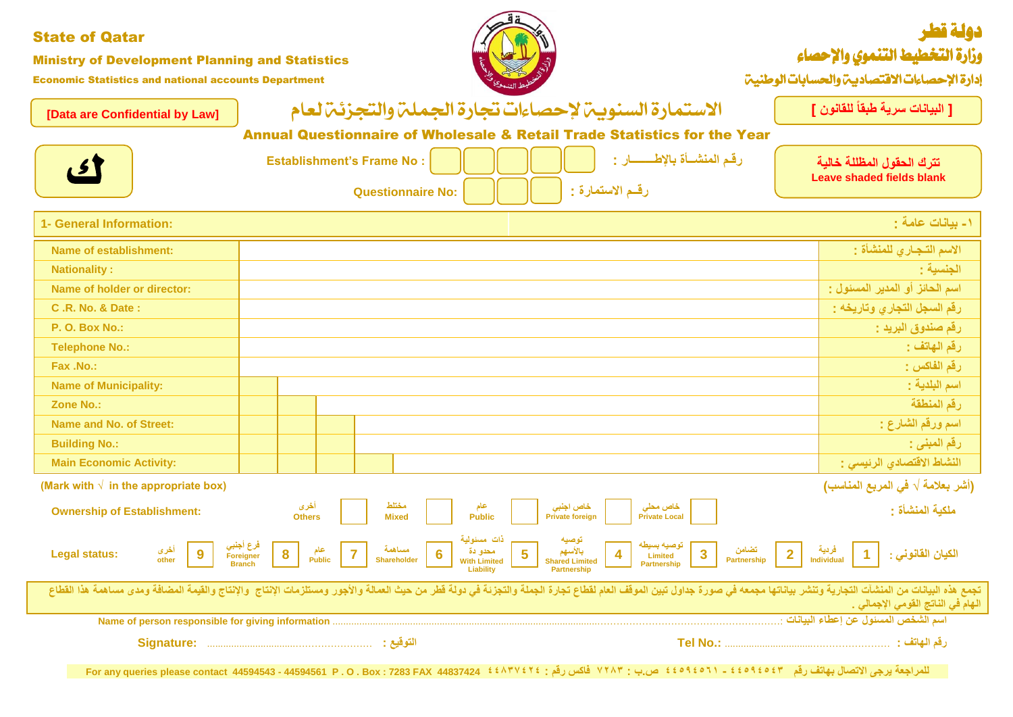| <b>State of Qatar</b><br><b>Ministry of Development Planning and Statistics</b><br><b>Economic Statistics and national accounts Department</b> |                                                                                                                                                                                                                                                                                                                                                                     | دولة قطر<br>وزارة التخطيط التنموي والإحصاء<br>إدارة الإحصاءات الاقتصاديين والحسابات الوطنيين |
|------------------------------------------------------------------------------------------------------------------------------------------------|---------------------------------------------------------------------------------------------------------------------------------------------------------------------------------------------------------------------------------------------------------------------------------------------------------------------------------------------------------------------|----------------------------------------------------------------------------------------------|
| [Data are Confidential by Law]                                                                                                                 | الاستمارة السنويب لإحصاءات تجارة الجملي والتجزئي لعام                                                                                                                                                                                                                                                                                                               | [ البيانات سرية طبقاً للقانون ]                                                              |
|                                                                                                                                                | <b>Annual Questionnaire of Wholesale &amp; Retail Trade Statistics for the Year</b>                                                                                                                                                                                                                                                                                 |                                                                                              |
| <u>ای</u>                                                                                                                                      | رقم المنشــأة بالإطـــــــــار :<br><b>Establishment's Frame No:</b><br>رقم الاستمارة :<br><b>Questionnaire No:</b>                                                                                                                                                                                                                                                 | تترك الحقول المظللة خالية<br><b>Leave shaded fields blank</b>                                |
| 1- General Information:                                                                                                                        |                                                                                                                                                                                                                                                                                                                                                                     | ١- بيانات عامة :                                                                             |
| <b>Name of establishment:</b>                                                                                                                  |                                                                                                                                                                                                                                                                                                                                                                     | الاسم التجاري للمنشأة :                                                                      |
| <b>Nationality:</b>                                                                                                                            |                                                                                                                                                                                                                                                                                                                                                                     | الجنسية :                                                                                    |
| Name of holder or director:                                                                                                                    |                                                                                                                                                                                                                                                                                                                                                                     | اسم الحائز أو المدير المسئول :                                                               |
| <b>C.R. No. &amp; Date:</b>                                                                                                                    |                                                                                                                                                                                                                                                                                                                                                                     | رقم السجل التجاري وتاريخه :                                                                  |
| <b>P. O. Box No.:</b>                                                                                                                          |                                                                                                                                                                                                                                                                                                                                                                     | رقم صندوق البريد :                                                                           |
| <b>Telephone No.:</b>                                                                                                                          |                                                                                                                                                                                                                                                                                                                                                                     | رقم المهاتف :                                                                                |
| Fax .No.:                                                                                                                                      |                                                                                                                                                                                                                                                                                                                                                                     | رقم الفاكس :                                                                                 |
| <b>Name of Municipality:</b>                                                                                                                   |                                                                                                                                                                                                                                                                                                                                                                     | اسم البلدية :                                                                                |
| Zone No.:                                                                                                                                      |                                                                                                                                                                                                                                                                                                                                                                     | رقم المنطقة                                                                                  |
| <b>Name and No. of Street:</b>                                                                                                                 |                                                                                                                                                                                                                                                                                                                                                                     | اسم ورقم الشارع :                                                                            |
| <b>Building No.:</b>                                                                                                                           |                                                                                                                                                                                                                                                                                                                                                                     | رقم المبنى :                                                                                 |
| <b>Main Economic Activity:</b>                                                                                                                 |                                                                                                                                                                                                                                                                                                                                                                     | النشاط الاقتصادي الرئيسي :                                                                   |
| (Mark with $\sqrt{ }$ in the appropriate box)                                                                                                  |                                                                                                                                                                                                                                                                                                                                                                     | (أشر بعلامة √ في المربع المناسب)                                                             |
| <b>Ownership of Establishment:</b>                                                                                                             | مختلط<br>أخرى<br>خاص اجنبي<br>خاص محلي<br>عام<br><b>Mixed</b><br>Public<br><b>Private foreign</b><br><b>Private Local</b><br><b>Others</b>                                                                                                                                                                                                                          | ملكية المنشأة :                                                                              |
| <b>Legal status:</b><br>other                                                                                                                  | <b>توصيه</b><br>۱۰ الأسهم<br>  توصيه بسيطه<br>عام الصادر فرع أجنبي الصادري<br>فردية <mark>2   مقامات عندامات  </mark> مقصامات  <br>Partnership   2   Individual   1   1<br>مسلهمة<br>Foreigner<br>Limited<br><b>Public</b><br>Shareholder<br><b>With Limited</b><br><b>Shared Limited</b><br><b>Branch</b><br><b>Partnership</b><br>Liability<br><b>Partnership</b> | الكيان القانوني :                                                                            |
|                                                                                                                                                | تجمع هذه البيانات من المنشآت التجارية وتنشر بياناتها مجمعه فى صورة جداول تبين الموقف العارة والتجزئ والأجفر من حيث العمللة والأجور ومستلزمات الإنتاج والإنتاج والقيمة المضافة ومدى مساهمة هذا القطاع                                                                                                                                                                | الـهام في النـاتج الـقومي الإجمـالي .                                                        |
|                                                                                                                                                |                                                                                                                                                                                                                                                                                                                                                                     |                                                                                              |
|                                                                                                                                                | التوقيع :                                                                                                                                                                                                                                                                                                                                                           |                                                                                              |
|                                                                                                                                                | للمراجعة يرجى الاتصال بهاتف رقم    ٤٤٥٩٤٥٤٢ ـ ١٢٥٩٤٥٦١ ــ فكس رقم :   ٢٢٨٣ فاكس رقم :   ٢٢٨٣ - For any queries please contact  44594543 - 44594561 P . O . Box : 7283 FAX   فاكس رقم :   ٢٢٨٣ فاكس رقم :   ٢٢٨٣ فاكس رقم :  ٢                                                                                                                                       |                                                                                              |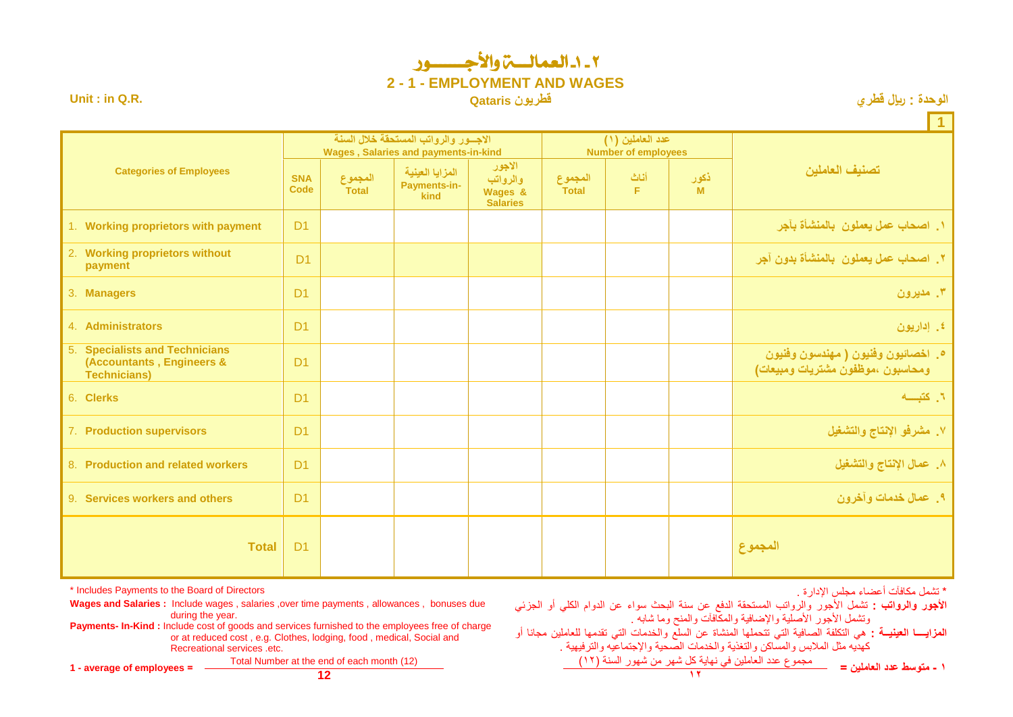### 2 - -1 العمالـــة واألجـــــــور **2 - 1 - EMPLOYMENT AND WAGES Unit : in Q.R. Qataris قطريون قطري لاير : الوحدة**

|  |  | الوحدة : ريإل قطر ي |
|--|--|---------------------|
|--|--|---------------------|

**1 تصنيف العاملين عدد العاملين )1( Number of employees االجـــور والرواتب المستحقة خالل السنة Wages , Salaries and payments-in-kind Categories of Employees ذكور M أناث F المجموع Total االجور والرواتب Wages & Salaries المزايا العينية Payments-inkind المجموع Total SNA Code .1 اصحاب عمل يعملون بالمنشأة بآجر** 1D **payment with proprietors Working** 1. **.8 اصحاب عمل يعملون بالمنشأة بدون آجر** 1D 2. **Working proprietors without payment** 3. **Managers** D1 **مديرون .3** 4. **Administrators** D1 **إداريون .4 .5 اخصائيون وفنيون ) مهندسون وفنيون**   $D<sub>1</sub>$  **ومحاسبون ،موظفون مشتريات ومبيعات(** 5. **Specialists and Technicians (Accountants , Engineers & Technicians)** 6. **Clerks** D1 **كتبــــه .1 .3 مشرفو اإلنتاج والتشغيل** 1D **supervisors Production** 7. 8. **Production and related workers** D1 **والتشغيل اإلنتاج عمال .2** 9. **Services workers and others** D1 **وآخرون خدمات عمال .4 Total** D1 **المجموع**

**األجور والرواتب :** تشمل األجور والرواتب المستحقة الدفع عن سنة البحث سواء عن الدوام الكلي أو الجزئي وتشمل الأجور الأصلية والإضافية والمكافأت والمنح وما شابه .

**المزايــــا العينيــة :** هي التكلفة الصافية التي تتحملها المنشاة عن السلع والخدمات التي تقدمها للعاملين مجانا أو كهديه مثل المالبس والمساكن والتغذية والخدمات الصحية واإلجتماعيه والترفيهية .

**1 - متوسط عدد العاملين =** Total Number at the end of each month (12) )21( السنة شهور من شهر كل نهاية في العاملين عدد مجموع **1 - average of employees = 12 18**

\* Includes Payments to the Board of Directors . اإلدارة مجلس أعضاء مكافآت تشمل\*

**Wages and Salaries :** Include wages , salaries ,over time payments , allowances , bonuses due during the year.

**Payments- In-Kind :** Include cost of goods and services furnished to the employees free of charge or at reduced cost , e.g. Clothes, lodging, food , medical, Social and Recreational services etc.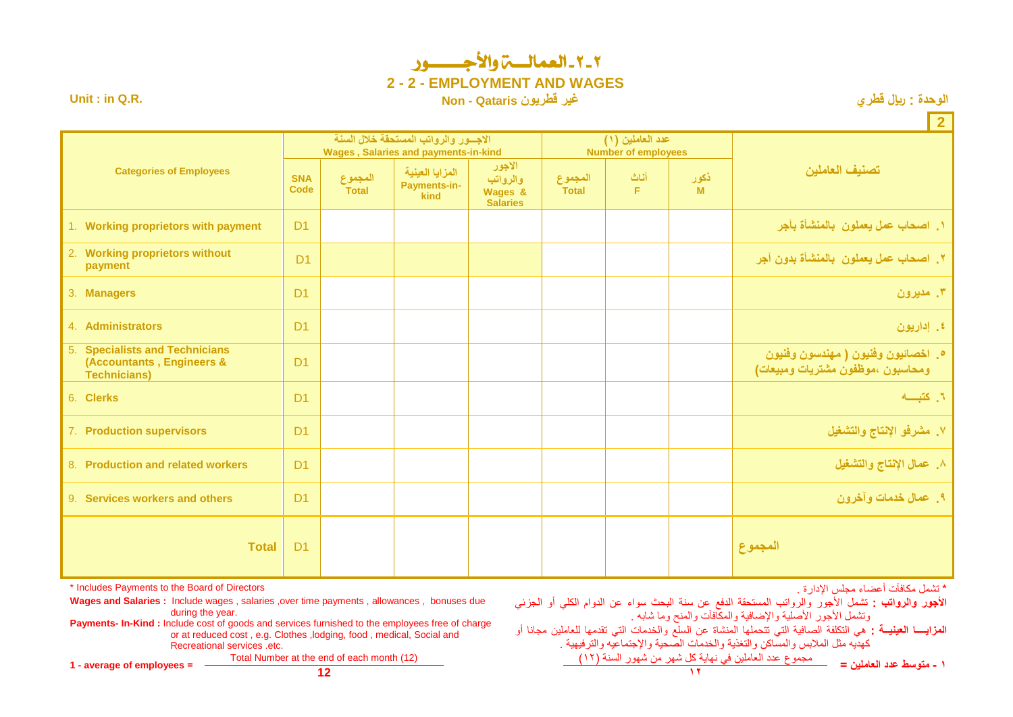## 2 - 2 - العمالـــة واألجـــــــور **2 - 2 - EMPLOYMENT AND WAGES**

**12** 

**Unit : in Q.R. Non - Qataris قطريون غير قطري لاير : الوحدة**

|                                                                                    |                           |                         |                                                                                     |                                                  |                         |                                                |           | $\epsilon$                                                               |
|------------------------------------------------------------------------------------|---------------------------|-------------------------|-------------------------------------------------------------------------------------|--------------------------------------------------|-------------------------|------------------------------------------------|-----------|--------------------------------------------------------------------------|
|                                                                                    |                           |                         | الاجسور والرواتب المستحقة خلال السنة<br><b>Wages, Salaries and payments-in-kind</b> |                                                  |                         | عدد العاملين (١)<br><b>Number of employees</b> |           |                                                                          |
| <b>Categories of Employees</b>                                                     | <b>SNA</b><br><b>Code</b> | المجموع<br><b>Total</b> | المزايا العينية<br>Payments-in-<br>kind                                             | الاجور<br>والرواتب<br>Wages &<br><b>Salaries</b> | المجموع<br><b>Total</b> | أثاث<br>F.                                     | ذكور<br>M | تصنيف العاملين                                                           |
| 1. Working proprietors with payment                                                | D <sub>1</sub>            |                         |                                                                                     |                                                  |                         |                                                |           | ١. اصحاب عمل يعملون  بالمنشأة بآجر                                       |
| 2. Working proprietors without<br>payment                                          | D <sub>1</sub>            |                         |                                                                                     |                                                  |                         |                                                |           | ٢. اصحاب عمل يعملون  بالمنشأة بدون آجر                                   |
| 3. Managers                                                                        | D <sub>1</sub>            |                         |                                                                                     |                                                  |                         |                                                |           | ۳. مدیرون                                                                |
| 4. Administrators                                                                  | D <sub>1</sub>            |                         |                                                                                     |                                                  |                         |                                                |           | ٤. إداريون                                                               |
| 5. Specialists and Technicians<br>(Accountants, Engineers &<br><b>Technicians)</b> | D <sub>1</sub>            |                         |                                                                                     |                                                  |                         |                                                |           | ۰. اخصائيون وفنيون ( مهندسون وفنيون<br>ومحاسبون ،موظفون مشتريات ومبيعات) |
| 6. Clerks                                                                          | D <sub>1</sub>            |                         |                                                                                     |                                                  |                         |                                                |           | ٦. كتبسه                                                                 |
| 7. Production supervisors                                                          | D <sub>1</sub>            |                         |                                                                                     |                                                  |                         |                                                |           | ٧. مشرفو الإنتاج والتشغيل                                                |
| 8. Production and related workers                                                  | D <sub>1</sub>            |                         |                                                                                     |                                                  |                         |                                                |           | ٨. عمال الإنتاج والتشغيل                                                 |
| 9. Services workers and others                                                     | D <sub>1</sub>            |                         |                                                                                     |                                                  |                         |                                                |           | ٩. عمال خدمات وأخرون                                                     |
| <b>Total</b>                                                                       | D <sub>1</sub>            |                         |                                                                                     |                                                  |                         |                                                |           | المجموع                                                                  |

\* Includes Payments to the Board of Directors . اإلدارة مجلس أعضاء مكافآت تشمل\*

Wages and Salaries : Include wages , salaries , over time payments , allowances , bonuses due during the year.

**Payments- In-Kind :** Include cost of goods and services furnished to the employees free of charge or at reduced cost , e.g. Clothes ,lodging, food , medical, Social and Recreational services .etc.

**األجور والرواتب :** تشمل األجور والرواتب المستحقة الدفع عن سنة البحث سواء عن الدوام الكلي أو الجزئي وتشمل الأجور الأصلية والإضافية والمكافأت والمنح وما شابه .

**المزايــــا العينيــة :** هي التكلفة الصافية التي تتحملها المنشاة عن السلع والخدمات التي تقدمها للعاملين مجانا أو كهديه مثل المالبس والمساكن والتغذية والخدمات الصحية واإلجتماعيه والترفيهية .

**1 - متوسط عدد العاملين =** Total Number at the end of each month (12) )21( السنة شهور من شهر كل نهاية في العاملين عدد مجموع **1 - average of employees = 12 18**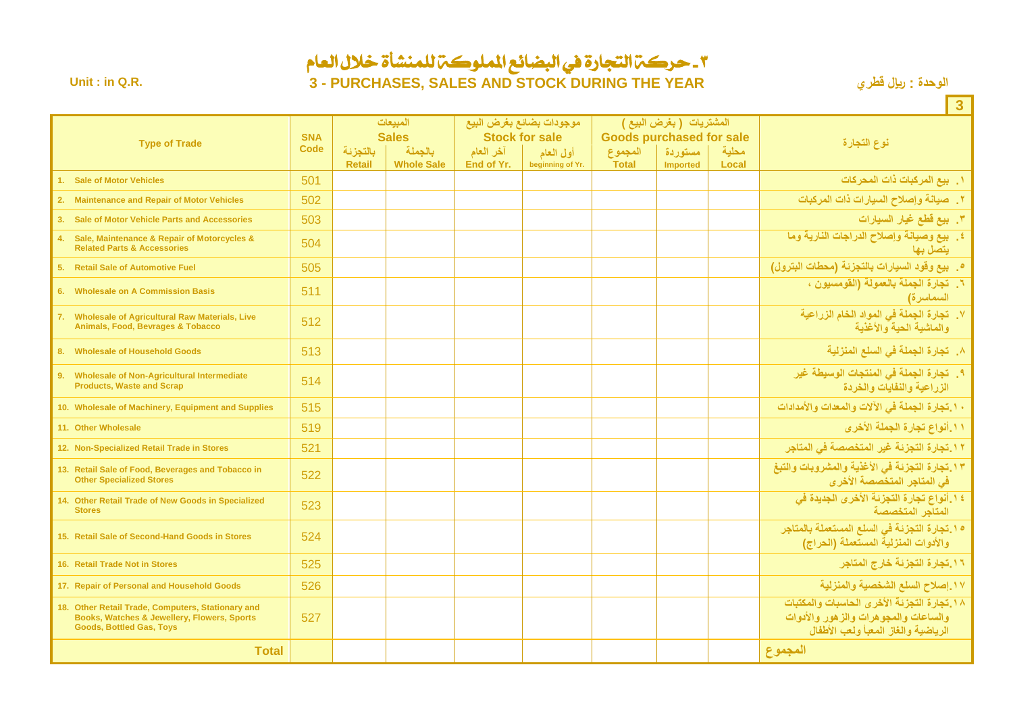### 3 - حركة التجارة يف البضائع اململوكة للمنشأة خالل العام **Unit : in Q.R. 3 - PURCHASES, SALES AND STOCK DURING THE YEAR قطري لاير : الوحدة**

|                                                                                                                                     |                           |               |                         |            |                               |                                                            |                            |              | $\overline{3}$                                                                                                            |
|-------------------------------------------------------------------------------------------------------------------------------------|---------------------------|---------------|-------------------------|------------|-------------------------------|------------------------------------------------------------|----------------------------|--------------|---------------------------------------------------------------------------------------------------------------------------|
|                                                                                                                                     |                           | المبيعات      |                         |            | موجودات بضائع بغرض البيع      | المشتريات (بغرض البيع )<br><b>Goods purchased for sale</b> |                            |              |                                                                                                                           |
| <b>Type of Trade</b>                                                                                                                | <b>SNA</b><br><b>Code</b> | بالتجزئة      | <b>Sales</b><br>بالجملة | آخر العام  | <b>Stock for sale</b>         |                                                            |                            | محلبة        | نوع التجارة                                                                                                               |
|                                                                                                                                     |                           | <b>Retail</b> | <b>Whole Sale</b>       | End of Yr. | أول العام<br>beginning of Yr. | المجموع<br><b>Total</b>                                    | مستوردة<br><b>Imported</b> | <b>Local</b> |                                                                                                                           |
| 1. Sale of Motor Vehicles                                                                                                           | 501                       |               |                         |            |                               |                                                            |                            |              | ١. بيع المركبات ذات المحركات                                                                                              |
| 2. Maintenance and Repair of Motor Vehicles                                                                                         | 502                       |               |                         |            |                               |                                                            |                            |              | ٢. صيانة وإصلاح السيارات ذات المركبات                                                                                     |
| 3. Sale of Motor Vehicle Parts and Accessories                                                                                      | 503                       |               |                         |            |                               |                                                            |                            |              | ٣. بيع فَطع غيار السيارات                                                                                                 |
| 4. Sale, Maintenance & Repair of Motorcycles &<br><b>Related Parts &amp; Accessories</b>                                            | 504                       |               |                         |            |                               |                                                            |                            |              | ٤. بيع وصيانة وإصلاح الدراجات النارية وما<br>ىتصل يھا                                                                     |
| 5. Retail Sale of Automotive Fuel                                                                                                   | 505                       |               |                         |            |                               |                                                            |                            |              | <b>0. بيع وقود السيارات بالتجزئة (محطات البترول)</b>                                                                      |
| 6. Wholesale on A Commission Basis                                                                                                  | 511                       |               |                         |            |                               |                                                            |                            |              | ٦. تجارة الجملة بالعمولة (القومسيون ،<br>السماسرة)                                                                        |
| 7. Wholesale of Agricultural Raw Materials, Live<br><b>Animals, Food, Bevrages &amp; Tobacco</b>                                    | 512                       |               |                         |            |                               |                                                            |                            |              | ٧. تجارة الجملة في المواد الخام الزراعية<br>والماشية الحية والأغذية                                                       |
| 8. Wholesale of Household Goods                                                                                                     | 513                       |               |                         |            |                               |                                                            |                            |              | ٨_ تجارة الجملة في السلع المنزلية                                                                                         |
| 9. Wholesale of Non-Agricultural Intermediate<br><b>Products, Waste and Scrap</b>                                                   | 514                       |               |                         |            |                               |                                                            |                            |              | ٩. تجارة الجملة في المنتجات الوسيطة غير<br>الزراعية والنفايات والخردة                                                     |
| 10. Wholesale of Machinery, Equipment and Supplies                                                                                  | 515                       |               |                         |            |                               |                                                            |                            |              | ١٠.تجارة الجملة في الآلات والمعدات والأمدادات                                                                             |
| 11. Other Wholesale                                                                                                                 | 519                       |               |                         |            |                               |                                                            |                            |              | <u>١١. أنواع تجارة الجملة الأخرى</u>                                                                                      |
| 12. Non-Specialized Retail Trade in Stores                                                                                          | 521                       |               |                         |            |                               |                                                            |                            |              | ١٢.تجارة التجزئة غير المتخصصة في المتاجر                                                                                  |
| 13. Retail Sale of Food, Beverages and Tobacco in<br><b>Other Specialized Stores</b>                                                | 522                       |               |                         |            |                               |                                                            |                            |              | ١٣. تجارة التجزئة في الأغذية والمشروبات والتبغ<br>في المتاجر المتخصصة الأخرى                                              |
| 14. Other Retail Trade of New Goods in Specialized<br><b>Stores</b>                                                                 | 523                       |               |                         |            |                               |                                                            |                            |              | ١٤.أنواع تجارة التجزئة الأخرى الجديدة في<br>المتآجر المتخصصة                                                              |
| 15. Retail Sale of Second-Hand Goods in Stores                                                                                      | 524                       |               |                         |            |                               |                                                            |                            |              | 10 ـ تجارة التجزئة في السلع المستعملة بالمتاجر<br>والأدوات المنزلية المستعملة (الحراج)                                    |
| 16. Retail Trade Not in Stores                                                                                                      | 525                       |               |                         |            |                               |                                                            |                            |              | ١٦. تجارة التجزئة خارج المتاجر                                                                                            |
| 17. Repair of Personal and Household Goods                                                                                          | 526                       |               |                         |            |                               |                                                            |                            |              | ١٧. إصلاح السلع الشخصية والمنزلية                                                                                         |
| 18. Other Retail Trade, Computers, Stationary and<br>Books, Watches & Jewellery, Flowers, Sports<br><b>Goods, Bottled Gas, Toys</b> | 527                       |               |                         |            |                               |                                                            |                            |              | ١٨.تجارة التجزئة الأخرى الحاسبات والمكتبات<br>والساعات والمجوهرات والزهور والأدوات<br>الرياضية والغاز المعبأ ولعب الأطفال |
| <b>Total</b>                                                                                                                        |                           |               |                         |            |                               |                                                            |                            |              | المجموع                                                                                                                   |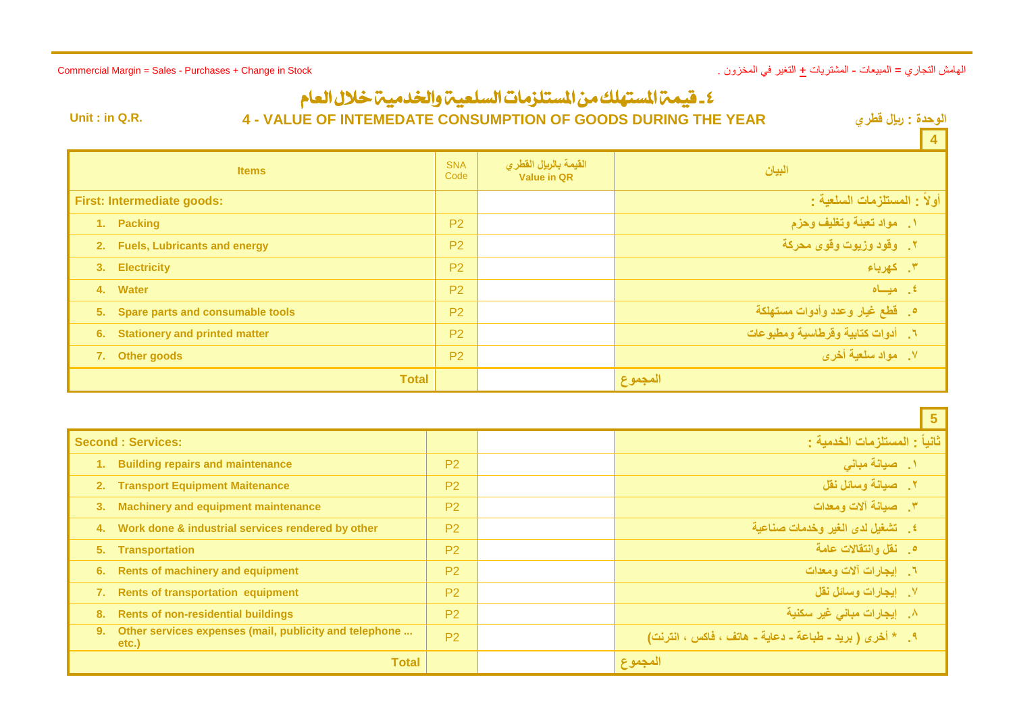الهامش التجاري = المبيعات - المشتريات + التغير في المخزون . Stock in Change + Purchases - Sales = Margin Commercial

# ٤ - قيمة المستهلك من المستلزمات السلعية والخدمية خلال العام

**Unit : in Q.R. 4 - VALUE OF INTEMEDATE CONSUMPTION OF GOODS DURING THE YEAR** 

ا**لوحدة : ريال قطر** *ي***<br>المطا** 

 $\sim$ 

|                                               |                    |                                             | 4                                     |
|-----------------------------------------------|--------------------|---------------------------------------------|---------------------------------------|
| <b>Items</b>                                  | <b>SNA</b><br>Code | القيمة بالريإل القطرى<br><b>Value in QR</b> | البيان                                |
| <b>First: Intermediate goods:</b>             |                    |                                             | أولاً : المستلزمات السلعية :          |
| 1. Packing                                    | P <sub>2</sub>     |                                             | ١. مواد تعبئة وتغليف وحزم             |
| 2. Fuels, Lubricants and energy               | P <sub>2</sub>     |                                             | <mark>٢. وقود وزيوت وقوى محركة</mark> |
| 3. Electricity                                | P <sub>2</sub>     |                                             | ٣. كهرباء                             |
| 4. Water                                      | <b>P2</b>          |                                             | ٤. ميساه                              |
| 5.<br><b>Spare parts and consumable tools</b> | P <sub>2</sub>     |                                             | ه . قطع غيار وعدد وأدوات مستهلكة ا    |
| <b>Stationery and printed matter</b><br>6.    | P <sub>2</sub>     |                                             | ٦. أدوات كتابية وقرطاسية ومطبوعات     |
| 7. Other goods                                | P <sub>2</sub>     |                                             | ٧. مواد سلعية أخرى                    |
| <b>Total</b>                                  |                    |                                             | المجموع                               |

|    |                                                                 |                | $\sqrt{5}$                                                |
|----|-----------------------------------------------------------------|----------------|-----------------------------------------------------------|
|    | <b>Second : Services:</b>                                       |                | ثانياً : المستلزمات الخدمية :                             |
|    | <b>Building repairs and maintenance</b>                         | P <sub>2</sub> | ۱. صیانة مبانی                                            |
| 2. | <b>Transport Equipment Maitenance</b>                           | P <sub>2</sub> | ٢. صيانة وسائل نقل                                        |
| 3. | <b>Machinery and equipment maintenance</b>                      | P <sub>2</sub> | ٣. صيانة ألات ومعدات                                      |
| 4. | Work done & industrial services rendered by other               | P <sub>2</sub> | ٤] _ تشغيل لدى الغير وخدمات صناعية                        |
| 5. | <b>Transportation</b>                                           | P <sub>2</sub> | 0 فقل وانتقالات عامة                                      |
| 6. | <b>Rents of machinery and equipment</b>                         | P <sub>2</sub> | ٦. ايجارات آلات ومعدات                                    |
|    | <b>Rents of transportation equipment</b>                        | P <sub>2</sub> | ٧. إيجارات وسائل نقل                                      |
| 8. | <b>Rents of non-residential buildings</b>                       | P <sub>2</sub> | ِ٨. [يجارات مباني غير سكنية                               |
| 9. | Other services expenses (mail, publicity and telephone<br>etc.) | P <sub>2</sub> | ٩ ـ * أخرى ( بريد ـ طباعة ـ دعاية ـ هاتف ، فاكس ، انترنت) |
|    | <b>Total</b>                                                    |                | المجموع                                                   |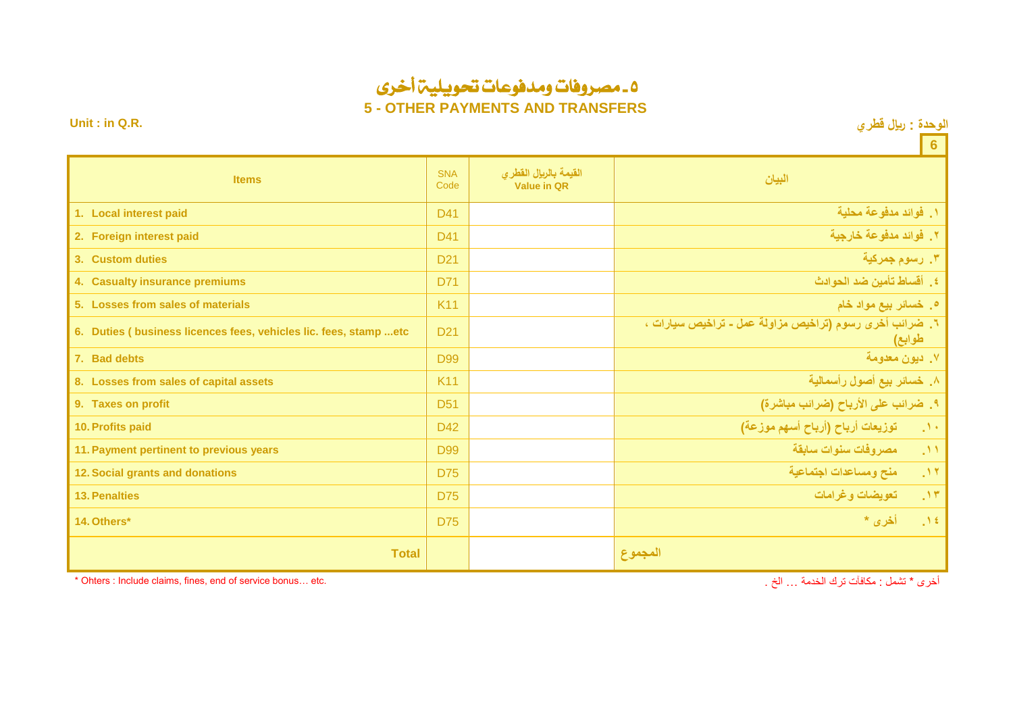# 5 - مصروفات ومدفوعات حتويلية أخرى

**5 - OTHER PAYMENTS AND TRANSFERS**

**Unit : in Q.R. قطري لاير : الوحدة**

|                                                                                                       |                    |                                             | $\overline{\phantom{a}}$ 6                                        |  |  |  |  |  |
|-------------------------------------------------------------------------------------------------------|--------------------|---------------------------------------------|-------------------------------------------------------------------|--|--|--|--|--|
| <b>Items</b>                                                                                          | <b>SNA</b><br>Code | القيمة بالريإل القطرى<br><b>Value in QR</b> | البيان                                                            |  |  |  |  |  |
| 1. Local interest paid                                                                                | D41                |                                             | ١. فوائد مدفوعة محلية                                             |  |  |  |  |  |
| 2. Foreign interest paid                                                                              | D41                |                                             | ٢. فوائد مدفوعة خارجية                                            |  |  |  |  |  |
| 3. Custom duties                                                                                      | D <sub>21</sub>    |                                             |                                                                   |  |  |  |  |  |
| 4. Casualty insurance premiums                                                                        | D71                |                                             | ٤] أقساط تأمين ضد الحوادث                                         |  |  |  |  |  |
| 5. Losses from sales of materials                                                                     | <b>K11</b>         |                                             | ه. خسائر بيع مواد خام                                             |  |  |  |  |  |
| 6. Duties (business licences fees, vehicles lic. fees, stamp  etc                                     | D <sub>21</sub>    |                                             | ٦. ضرائب أخرى رسوم (تراخيص مزاولة عمل ـ تراخيص سيارات ،<br>طوابع) |  |  |  |  |  |
| 7. Bad debts                                                                                          | <b>D99</b>         |                                             | ٧. ديون معدومة                                                    |  |  |  |  |  |
| 8. Losses from sales of capital assets                                                                | <b>K11</b>         |                                             | ٨. خسائر بيع أصول رأسمالية                                        |  |  |  |  |  |
| 9. Taxes on profit                                                                                    | <b>D51</b>         |                                             | ٩. ضرائب على الأرباح (ضرائب مباشرة)                               |  |  |  |  |  |
| 10. Profits paid                                                                                      | D42                |                                             | توزيعات أرباح (أرباح أسهم موزعة)<br>$\sim 100$                    |  |  |  |  |  |
| 11. Payment pertinent to previous years                                                               | <b>D99</b>         |                                             | ١١. مصروفات سنوات سابقة                                           |  |  |  |  |  |
| 12. Social grants and donations                                                                       | <b>D75</b>         |                                             | منح ومساعدات اجتماعية<br>.11                                      |  |  |  |  |  |
| <b>13. Penalties</b>                                                                                  | <b>D75</b>         |                                             | تعويضات وغرامات<br>.11                                            |  |  |  |  |  |
| 14. Others*                                                                                           | D75                |                                             | أخرى *<br>$\mathcal{M}$                                           |  |  |  |  |  |
| <b>Total</b>                                                                                          |                    |                                             | المجموع                                                           |  |  |  |  |  |
| أخرى * تشمل : مكافآت ترك الخدمة  الخ .<br>* Ohters : Include claims, fines, end of service bonus etc. |                    |                                             |                                                                   |  |  |  |  |  |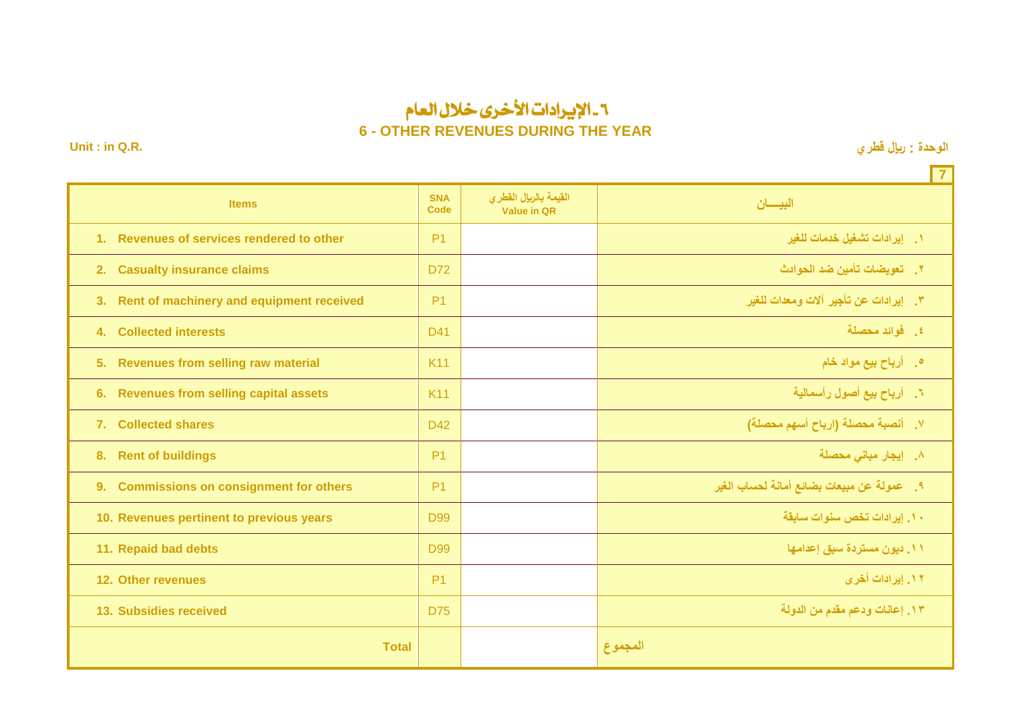### 6 - اإليرادات األخرى خالل العام **6 - OTHER REVENUES DURING THE YEAR**

**Unit : in Q.R. قطري لاير : الوحدة**

|                                                    |                           |                                             | $\overline{7}$                              |
|----------------------------------------------------|---------------------------|---------------------------------------------|---------------------------------------------|
| <b>Items</b>                                       | <b>SNA</b><br><b>Code</b> | القيمة بالريإل القطرى<br><b>Value in QR</b> | البيسان                                     |
| 1. Revenues of services rendered to other          | P <sub>1</sub>            |                                             | ١.     إيرادات تشغيل خدمات للغير            |
| <b>Casualty insurance claims</b><br>2.             | D72                       |                                             | ٢ _ تعويضات تأمين ضد الحو ادث               |
| Rent of machinery and equipment received<br>3.     | P <sub>1</sub>            |                                             | ٣. إيرادات عن تأجير آلات ومعدات للغير       |
| <b>Collected interests</b><br>4.                   | D41                       |                                             | ٤. فوائد محصلة                              |
| 5.<br><b>Revenues from selling raw material</b>    | <b>K11</b>                |                                             | <b>۰</b> أرباح بيع مواد خام                 |
| <b>Revenues from selling capital assets</b><br>6.  | <b>K11</b>                |                                             | ٦. أرباح بيع أصول رأسمالية                  |
| 7. Collected shares                                | D42                       |                                             | ٧. أنصبة محصلة (ارباح أسهم محصلة)           |
| 8.<br><b>Rent of buildings</b>                     | P <sub>1</sub>            |                                             | ٨. إيجار مبانى محصلة                        |
| <b>Commissions on consignment for others</b><br>9. | P <sub>1</sub>            |                                             | ٩ _ عمولة عن مبيعات بضائع أمانة لحساب الغير |
| 10. Revenues pertinent to previous years           | <b>D99</b>                |                                             | ١٠. إيرادات تخص سنوات سابقة                 |
| 11. Repaid bad debts                               | <b>D99</b>                |                                             | ١١. ديون مستردة سبق إعدامها                 |
| 12. Other revenues                                 | P <sub>1</sub>            |                                             | ۱۲. ایرادات أخر <i>ی</i>                    |
| 13. Subsidies received                             | <b>D75</b>                |                                             | ١٣. إعانات ودعم مقدم من الدولة              |
| <b>Total</b>                                       |                           |                                             | المجموع                                     |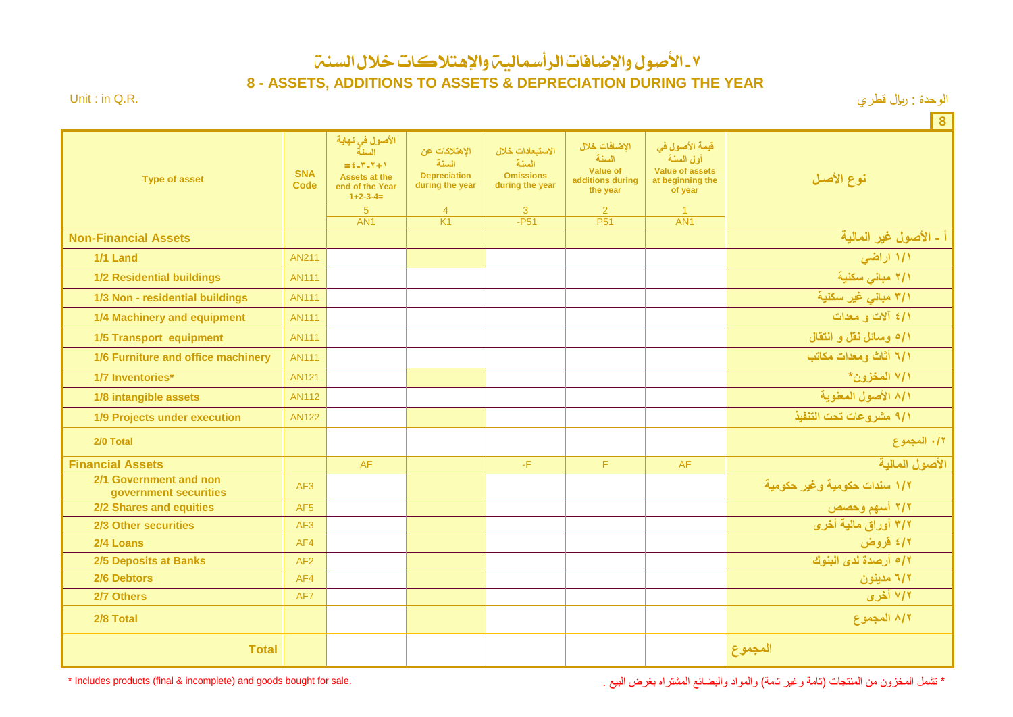-7 األصول واإلضافات الرأمسالية واإلهتالكات خالل السنة

**8 - ASSETS, ADDITIONS TO ASSETS & DEPRECIATION DURING THE YEAR**

الوحدة : ريال قطري السنة : المستقل : الوحدة : ويال قطري السنة : " الوحدة : ويال قطري السنة : " الوحدة : ويال ق

**8**

| <b>Type of asset</b>                            | <b>SNA</b><br><b>Code</b> | الأصول في نهاية<br>السنة<br>$\equiv$ $\epsilon$ -Y-Y+1<br><b>Assets at the</b><br>end of the Year<br>$1+2-3-4=$<br>$\overline{5}$<br>AN <sub>1</sub> | الاهتلاكات عن<br>السنة<br><b>Depreciation</b><br>during the year<br>$\overline{4}$<br>K1 | الاستبعادات خلال<br>السنة<br><b>Omissions</b><br>during the year<br>3<br>$-F51$ | الاضافات خلال<br>السنة<br><b>Value of</b><br>additions during<br>the year<br>2<br>P <sub>51</sub> | قيمة الأصول في<br>أول السنة<br><b>Value of assets</b><br>at beginning the<br>of year<br>$\overline{1}$<br>AN <sub>1</sub> | نوع الأصل                    |
|-------------------------------------------------|---------------------------|------------------------------------------------------------------------------------------------------------------------------------------------------|------------------------------------------------------------------------------------------|---------------------------------------------------------------------------------|---------------------------------------------------------------------------------------------------|---------------------------------------------------------------------------------------------------------------------------|------------------------------|
| <b>Non-Financial Assets</b>                     |                           |                                                                                                                                                      |                                                                                          |                                                                                 |                                                                                                   |                                                                                                                           | أ ـ الأصول غير المالية       |
| <b>1/1 Land</b>                                 | <b>AN211</b>              |                                                                                                                                                      |                                                                                          |                                                                                 |                                                                                                   |                                                                                                                           | ١/١ اراضي                    |
| <b>1/2 Residential buildings</b>                | <b>AN111</b>              |                                                                                                                                                      |                                                                                          |                                                                                 |                                                                                                   |                                                                                                                           | ٢/١ مباني سكنية              |
| 1/3 Non - residential buildings                 | <b>AN111</b>              |                                                                                                                                                      |                                                                                          |                                                                                 |                                                                                                   |                                                                                                                           | ٣/١ مباني غير سكنية          |
| 1/4 Machinery and equipment                     | <b>AN111</b>              |                                                                                                                                                      |                                                                                          |                                                                                 |                                                                                                   |                                                                                                                           | 1/٤ ألات و معدات             |
| <b>1/5 Transport equipment</b>                  | <b>AN111</b>              |                                                                                                                                                      |                                                                                          |                                                                                 |                                                                                                   |                                                                                                                           | 1/0 وسائل نقل و انتقال       |
| 1/6 Furniture and office machinery              | <b>AN111</b>              |                                                                                                                                                      |                                                                                          |                                                                                 |                                                                                                   |                                                                                                                           | ٦/١ أثاث ومعدات مكاتب        |
| 1/7 Inventories*                                | <b>AN121</b>              |                                                                                                                                                      |                                                                                          |                                                                                 |                                                                                                   |                                                                                                                           | ٧/١ المخزون*                 |
| 1/8 intangible assets                           | <b>AN112</b>              |                                                                                                                                                      |                                                                                          |                                                                                 |                                                                                                   |                                                                                                                           | ٨/١ الأصول المعنوية          |
| 1/9 Projects under execution                    | <b>AN122</b>              |                                                                                                                                                      |                                                                                          |                                                                                 |                                                                                                   |                                                                                                                           | ٩/١ مشروعات تحت التنفيذ      |
| 2/0 Total                                       |                           |                                                                                                                                                      |                                                                                          |                                                                                 |                                                                                                   |                                                                                                                           | ٠/٢ المجموع                  |
| <b>Financial Assets</b>                         |                           | AF                                                                                                                                                   |                                                                                          | -F.                                                                             | F.                                                                                                | <b>AF</b>                                                                                                                 | الأصول المالية               |
| 2/1 Government and non<br>government securities | AF3                       |                                                                                                                                                      |                                                                                          |                                                                                 |                                                                                                   |                                                                                                                           | ١/٢ سندات حكومية وغير حكومية |
| 2/2 Shares and equities                         | AF <sub>5</sub>           |                                                                                                                                                      |                                                                                          |                                                                                 |                                                                                                   |                                                                                                                           | ٢/٢ أسهم وحصص                |
| 2/3 Other securities                            | AF <sub>3</sub>           |                                                                                                                                                      |                                                                                          |                                                                                 |                                                                                                   |                                                                                                                           | ٣/٢ أوراق مالية أخرى         |
| 2/4 Loans                                       | AF4                       |                                                                                                                                                      |                                                                                          |                                                                                 |                                                                                                   |                                                                                                                           | ٤/٢ قروض                     |
| <b>2/5 Deposits at Banks</b>                    | AF2                       |                                                                                                                                                      |                                                                                          |                                                                                 |                                                                                                   |                                                                                                                           | ١٢ه أرصدة لدى البنوك         |
| 2/6 Debtors                                     | AF4                       |                                                                                                                                                      |                                                                                          |                                                                                 |                                                                                                   |                                                                                                                           | ٦/٢ مدينون                   |
| 2/7 Others                                      | AF7                       |                                                                                                                                                      |                                                                                          |                                                                                 |                                                                                                   |                                                                                                                           | ۷/۲ أخرى                     |
| 2/8 Total                                       |                           |                                                                                                                                                      |                                                                                          |                                                                                 |                                                                                                   |                                                                                                                           | ٨/٢ المجموع                  |
| <b>Total</b>                                    |                           |                                                                                                                                                      |                                                                                          |                                                                                 |                                                                                                   |                                                                                                                           | المجموع                      |

\* تشمل المخزون من المنتجات (تامة وغير تامة) والمواد والبضائع المشتراه بغرض البيع . هند المنتقبة المشتراه بغرض البيع .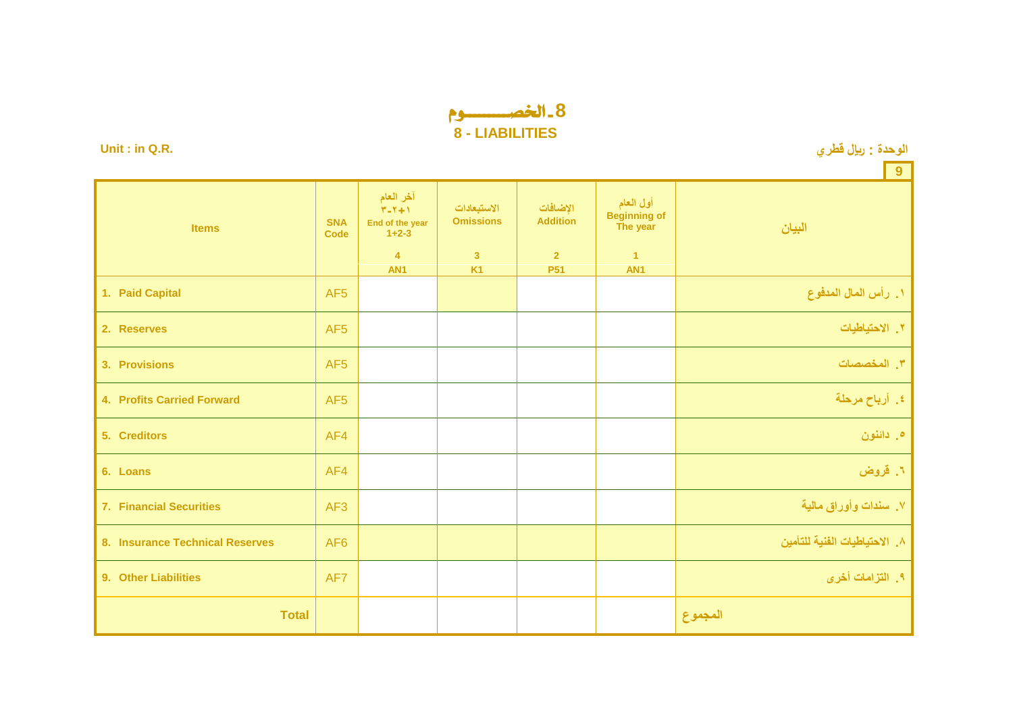## **8** - اخلصـــــــــوم **8 - LIABILITIES**

**Unit : in Q.R. قطري لاير : الوحدة**

**9 البيان أول العام Beginning of The year اإلضافات Addition االستبعادات Omissions آخر العام**  $\overline{Y-Y+1}$ **End of the year 1+2-3 SNA Items Items Items Items 4 3 2 1 AN1 K1 P51 AN1 .1 رأس المال المدفوع** 5AF **Capital Paid 1. 2. Reserves** AF5 **االحتياطيات .8 3. Provisions** AF5 **المخصصات .3 4. Profits Carried Forward** AF5 **مرحلة أرباح .4 5. Creditors** AF4 **دائنون .5 6. Loans** AF4 **قروض .1 .3 سندات وأوراق مالية** 3AF **Securities Financial 7. 8. Insurance Technical Reserves** AF6 **للتأمين الفنية االحتياطيات .2 9. Other Liabilities** AF7 **أخرى التزامات .4 المجموع Total**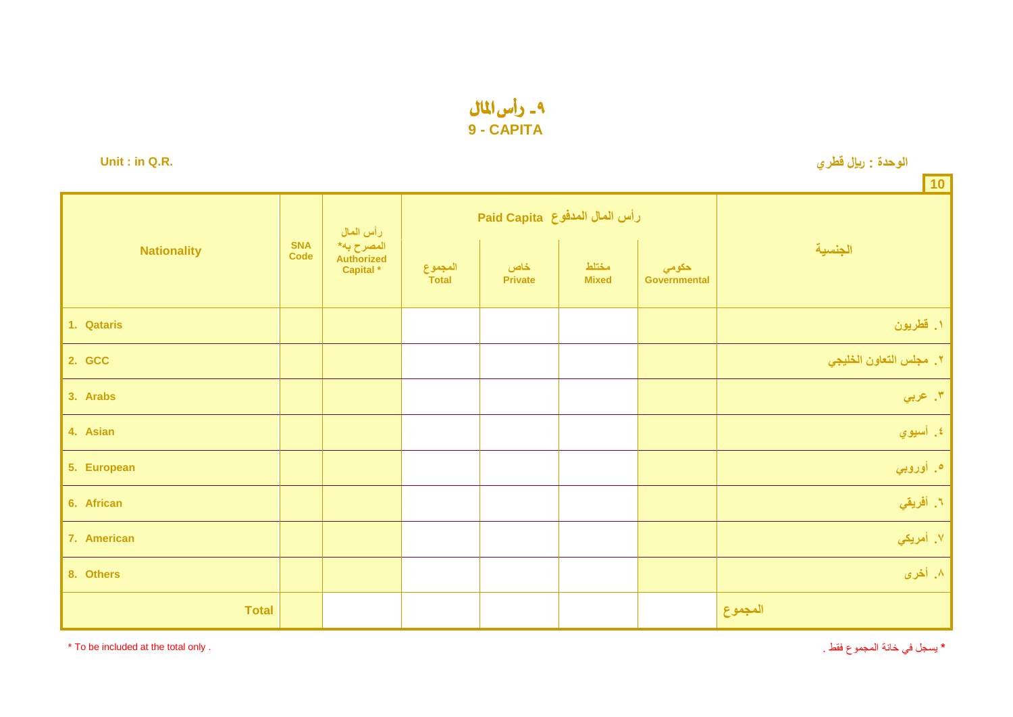۹ - رأس المال **9 - CAPITA**

**Unit : in Q.R. قطري لاير : الوحدة**

|                    |                           |                                                               |                  |                               |                       |                       | $ 10\rangle$            |
|--------------------|---------------------------|---------------------------------------------------------------|------------------|-------------------------------|-----------------------|-----------------------|-------------------------|
| <b>Nationality</b> | <b>SNA</b><br><b>Code</b> | رأس المال<br>المصرح به*<br>Authorized<br>Capital <sup>*</sup> |                  | رأس الملل المدفوع Paid Capita |                       |                       |                         |
|                    |                           |                                                               | المجموع<br>Total | خاص<br><b>Private</b>         | مختلط<br><b>Mixed</b> | حكومي<br>Governmental | الجنسية                 |
| 1. Qataris         |                           |                                                               |                  |                               |                       |                       | ١. قطريون               |
| 2. GCC             |                           |                                                               |                  |                               |                       |                       | ٢. مجلس التعاون الخليجي |
| 3. Arabs           |                           |                                                               |                  |                               |                       |                       | ٣. عربي                 |
| 4. Asian           |                           |                                                               |                  |                               |                       |                       | ٤. أسيوي                |
| 5. European        |                           |                                                               |                  |                               |                       |                       | ه. أوروبي               |
| 6. African         |                           |                                                               |                  |                               |                       |                       | ٦. أفريقي               |
| 7. American        |                           |                                                               |                  |                               |                       |                       | ۷. أمري <mark>كي</mark> |
| 8. Others          |                           |                                                               |                  |                               |                       |                       | ٨. أخرى                 |
| <b>Total</b>       |                           |                                                               |                  |                               |                       |                       | المجموع                 |

\* To be included at the total only . . فقط المجموع خانة في يسجل**\***